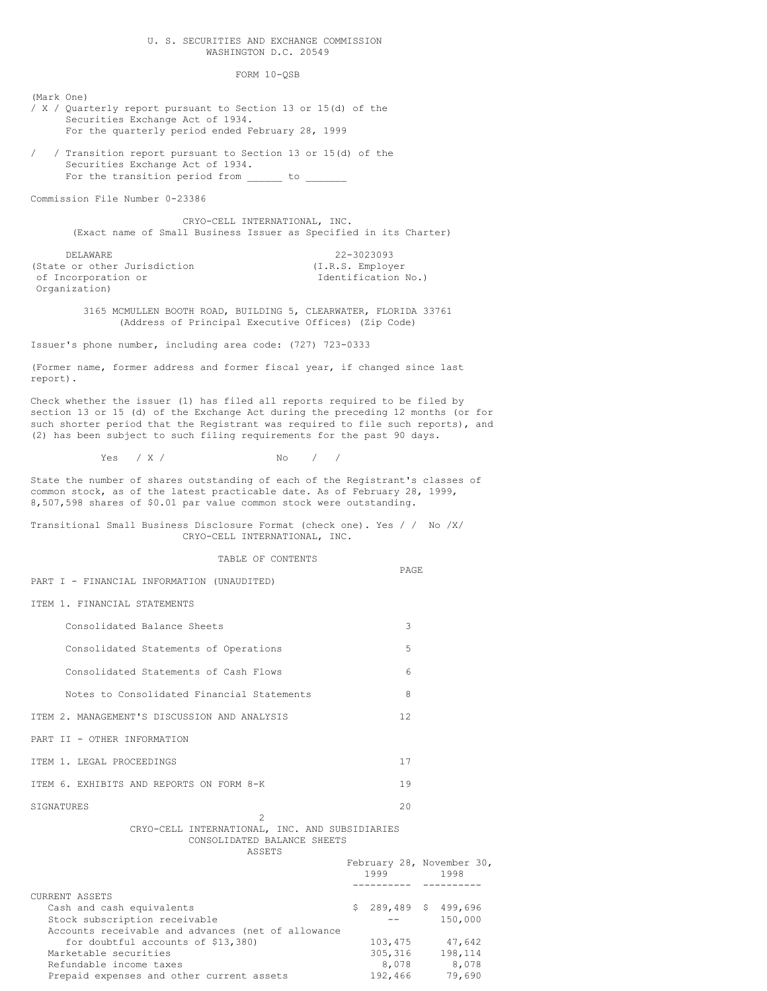U. S. SECURITIES AND EXCHANGE COMMISSION WASHINGTON D.C. 20549

FORM 10-QSB

(Mark One) / X / Quarterly report pursuant to Section 13 or 15(d) of the Securities Exchange Act of 1934. For the quarterly period ended February 28, 1999

/ / Transition report pursuant to Section 13 or 15(d) of the Securities Exchange Act of 1934. For the transition period from \_\_\_\_\_\_ to \_\_\_\_\_

Commission File Number 0-23386

CRYO-CELL INTERNATIONAL, INC. (Exact name of Small Business Issuer as Specified in its Charter)

DELAWARE 22-3023093 (State or other Jurisdiction  $(1.R.S.$  Employer<br>
of Incorporation or  $\qquad \qquad$  Identification No.) of Incorporation or Organization)

3165 MCMULLEN BOOTH ROAD, BUILDING 5, CLEARWATER, FLORIDA 33761 (Address of Principal Executive Offices) (Zip Code)

Issuer's phone number, including area code: (727) 723-0333

(Former name, former address and former fiscal year, if changed since last report).

Check whether the issuer (1) has filed all reports required to be filed by section 13 or 15 (d) of the Exchange Act during the preceding 12 months (or for such shorter period that the Registrant was required to file such reports), and (2) has been subject to such filing requirements for the past 90 days.

Yes / X /  $N$  /  $N$  /  $/$ 

State the number of shares outstanding of each of the Registrant's classes of common stock, as of the latest practicable date. As of February 28, 1999, 8,507,598 shares of \$0.01 par value common stock were outstanding.

Transitional Small Business Disclosure Format (check one). Yes / / No /X/ CRYO-CELL INTERNATIONAL, INC.

TABLE OF CONTENTS

PAGE

- PART I FINANCIAL INFORMATION (UNAUDITED)
- ITEM 1. FINANCIAL STATEMENTS

| Consolidated Balance Sheets                  |    |
|----------------------------------------------|----|
| Consolidated Statements of Operations        | 5  |
| Consolidated Statements of Cash Flows        | 6  |
| Notes to Consolidated Financial Statements   | 8  |
| TTEM 2. MANAGEMENT'S DISCUSSION AND ANALYSIS | 12 |
| PART II - OTHER INFORMATION                  |    |
| LEGAL PROCEEDINGS<br>T T F.M                 |    |

ITEM 6. EXHIBITS AND REPORTS ON FORM 8-K 19

SIGNATURES 20

### CRYO-CELL INTERNATIONAL, INC. AND SUBSIDIARIES CONSOLIDATED BALANCE SHEETS ASSETS

 $\overline{2}$ 

|                                                    | 1999                  | February 28, November 30,<br>1998 |
|----------------------------------------------------|-----------------------|-----------------------------------|
| CURRENT ASSETS                                     |                       |                                   |
| Cash and cash equivalents                          | $$289,489$ \$ 499,696 |                                   |
| Stock subscription receivable                      |                       | 150,000                           |
| Accounts receivable and advances (net of allowance |                       |                                   |
| for doubtful accounts of \$13,380)                 | 103,475               | 47,642                            |
| Marketable securities                              | 305,316               | 198,114                           |
| Refundable income taxes                            | 8,078                 | 8,078                             |
| Prepaid expenses and other current assets          | 192,466               | 79,690                            |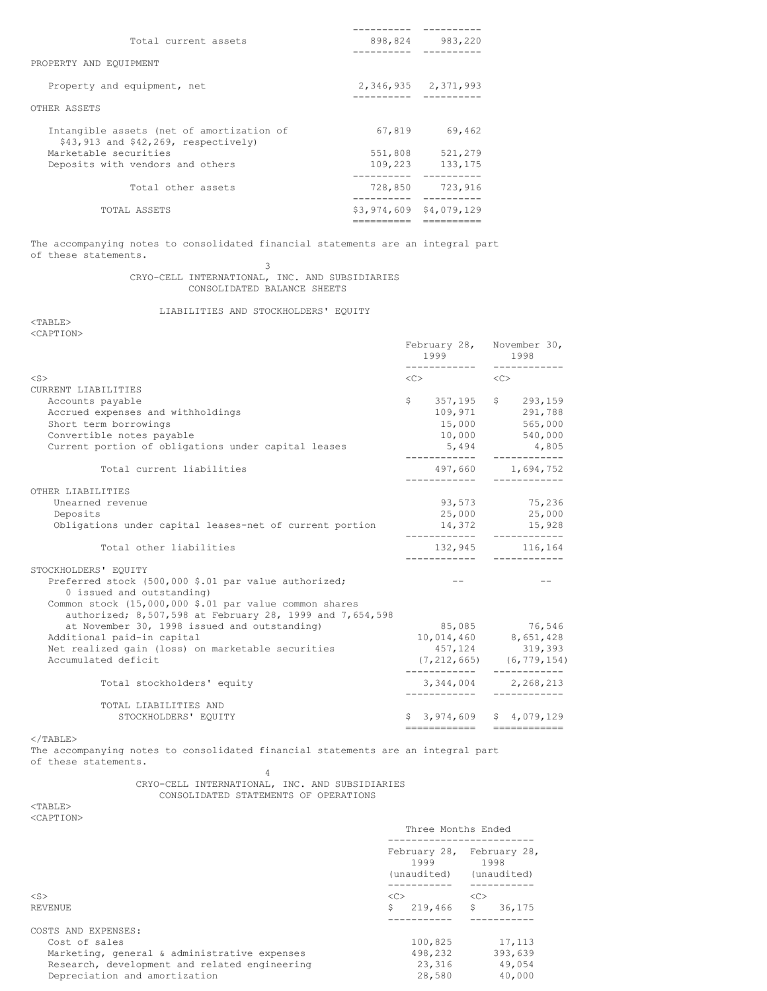| Total current assets                                                              | 898,824 | 983,220                   |
|-----------------------------------------------------------------------------------|---------|---------------------------|
|                                                                                   |         |                           |
| PROPERTY AND EQUIPMENT                                                            |         |                           |
| Property and equipment, net                                                       |         | 2,346,935 2,371,993       |
|                                                                                   |         |                           |
| OTHER ASSETS                                                                      |         |                           |
| Intangible assets (net of amortization of<br>\$43,913 and \$42,269, respectively) | 67,819  | 69,462                    |
| Marketable securities                                                             | 551,808 | 521,279                   |
| Deposits with vendors and others                                                  | 109,223 | 133,175                   |
|                                                                                   |         |                           |
| Total other assets                                                                | 728,850 | 723,916                   |
|                                                                                   |         |                           |
| TOTAL ASSETS                                                                      |         | $$3,974,609$ $$4,079,129$ |
|                                                                                   |         |                           |

The accompanying notes to consolidated financial statements are an integral part of these statements.

3 CRYO-CELL INTERNATIONAL, INC. AND SUBSIDIARIES CONSOLIDATED BALANCE SHEETS

LIABILITIES AND STOCKHOLDERS' EQUITY

 $<$ TABLE>

<CAPTION>

|                                                                            | February 28, November 30,<br>1999<br>____________ |                                                  | 1998<br>____________ |                                         |
|----------------------------------------------------------------------------|---------------------------------------------------|--------------------------------------------------|----------------------|-----------------------------------------|
| $<$ S $>$                                                                  |                                                   | $\langle C \rangle$ $\langle C \rangle$          |                      |                                         |
| CURRENT LIABILITIES                                                        |                                                   |                                                  |                      |                                         |
| Accounts payable                                                           |                                                   |                                                  |                      | $$357,195$ \$ 293,159                   |
| Accrued expenses and withholdings                                          |                                                   |                                                  |                      | 109,971 291,788                         |
| Short term borrowings                                                      |                                                   |                                                  |                      | 15,000 565,000                          |
| Convertible notes payable                                                  |                                                   |                                                  |                      | 10,000 540,000                          |
| Current portion of obligations under capital leases                        |                                                   |                                                  |                      | 5,494 4,805                             |
| Total current liabilities                                                  |                                                   | ------------                                     |                      | 497,660 1,694,752<br>------------       |
| OTHER LIABILITIES                                                          |                                                   |                                                  |                      |                                         |
| Unearned revenue                                                           |                                                   |                                                  |                      | 93,573 75,236                           |
| Deposits                                                                   |                                                   |                                                  |                      | 25,000 25,000                           |
| Obligations under capital leases-net of current portion                    |                                                   | $14,372$ $15,928$<br>--------------------------- |                      |                                         |
| Total other liabilities                                                    |                                                   | ------------                                     |                      | 132,945 116,164<br>____________         |
| STOCKHOLDERS' EQUITY                                                       |                                                   |                                                  |                      |                                         |
| Preferred stock (500,000 \$.01 par value authorized;                       |                                                   | $- -$                                            |                      |                                         |
| 0 issued and outstanding)                                                  |                                                   |                                                  |                      |                                         |
| Common stock (15,000,000 \$.01 par value common shares                     |                                                   |                                                  |                      |                                         |
| authorized; 8,507,598 at February 28, 1999 and 7,654,598                   |                                                   |                                                  |                      |                                         |
| at November 30, 1998 issued and outstanding)<br>Additional paid-in capital |                                                   |                                                  |                      | 85,085 76,546<br>10,014,460 8,651,428   |
| Net realized gain (loss) on marketable securities                          |                                                   |                                                  |                      | 457,124 319,393                         |
| Accumulated deficit                                                        |                                                   |                                                  |                      | $(7, 212, 665)$ $(6, 779, 154)$         |
|                                                                            |                                                   |                                                  |                      |                                         |
| Total stockholders' equity                                                 |                                                   | ____________                                     |                      | 3, 344, 004 2, 268, 213<br>------------ |
| TOTAL LIABILITIES AND                                                      |                                                   |                                                  |                      |                                         |
| STOCKHOLDERS' EQUITY                                                       |                                                   | ============================                     |                      | $$3,974,609$ $$4,079,129$               |
|                                                                            |                                                   |                                                  |                      |                                         |

 $<$ /TABLE $>$ 

The accompanying notes to consolidated financial statements are an integral part of these statements. 4

CRYO-CELL INTERNATIONAL, INC. AND SUBSIDIARIES CONSOLIDATED STATEMENTS OF OPERATIONS

<TABLE> <CAPTION>

|                                                                                               | Three Months Ended  |                                                  |  |
|-----------------------------------------------------------------------------------------------|---------------------|--------------------------------------------------|--|
|                                                                                               | 1999<br>(unaudited) | February 28, February 28,<br>1998<br>(unaudited) |  |
| $<$ S $>$                                                                                     | <<>                 | <<                                               |  |
| REVENUE.                                                                                      | Ŝ<br>219,466        | S.<br>36,175                                     |  |
| COSTS AND EXPENSES:<br>Cost of sales                                                          | 100,825             | 17,113                                           |  |
| Marketing, general & administrative expenses<br>Research, development and related engineering | 498,232<br>23,316   | 393,639<br>49,054                                |  |
| Depreciation and amortization                                                                 | 28,580              | 40,000                                           |  |
|                                                                                               |                     |                                                  |  |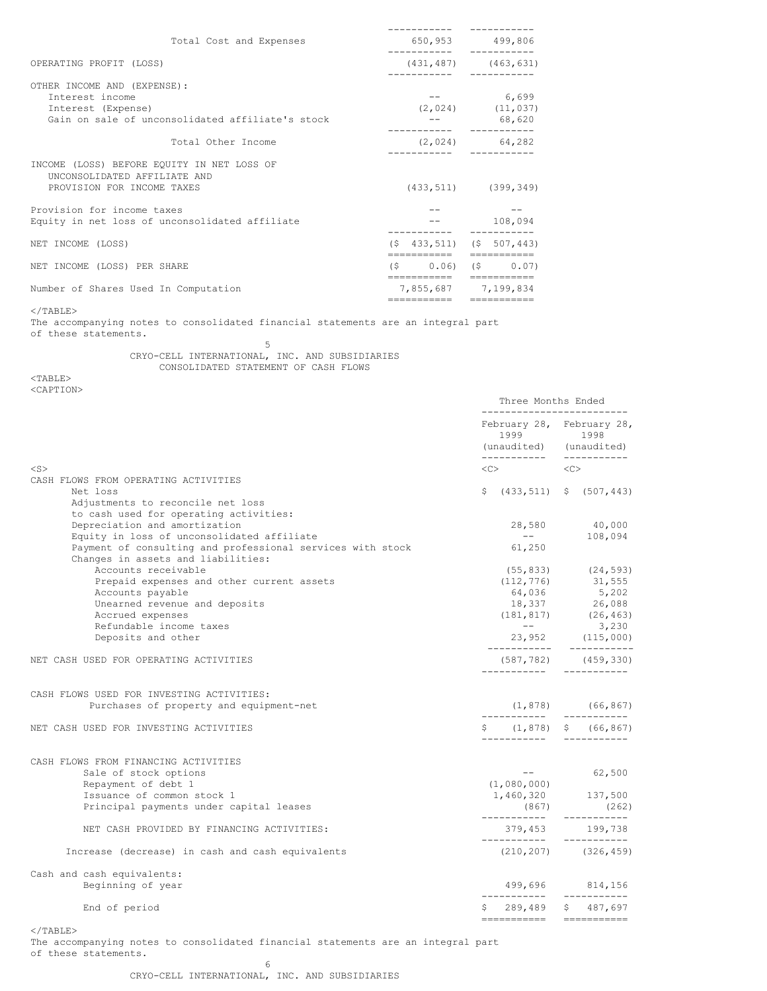| Total Cost and Expenses                                                                                                  |                          | 650,953 499,806                                 |
|--------------------------------------------------------------------------------------------------------------------------|--------------------------|-------------------------------------------------|
| OPERATING PROFIT (LOSS)                                                                                                  |                          | $(431, 487)$ $(463, 631)$                       |
| OTHER INCOME AND (EXPENSE):<br>Interest income<br>Interest (Expense)<br>Gain on sale of unconsolidated affiliate's stock |                          | 6,699<br>$(2, 024)$ $(11, 037)$<br>$-- 68,620$  |
| Total Other Income                                                                                                       |                          | $(2,024)$ 64,282                                |
| INCOME (LOSS) BEFORE EQUITY IN NET LOSS OF<br>UNCONSOLIDATED AFFILIATE AND<br>PROVISION FOR INCOME TAXES                 |                          | $(433, 511)$ $(399, 349)$                       |
| Provision for income taxes<br>Equity in net loss of unconsolidated affiliate                                             |                          | 108,094                                         |
| NET INCOME (LOSS)                                                                                                        | ===========              | $(5, 433, 511)$ $(5, 507, 443)$<br>------------ |
| NET INCOME (LOSS) PER SHARE                                                                                              | ======================== | $(S \t 0.06)$ $(S \t 0.07)$                     |
| Number of Shares Used In Computation                                                                                     | ============             | 7,855,687 7,199,834<br>===========              |

 $<$ /TABLE>

The accompanying notes to consolidated financial statements are an integral part of these statements. 5

CRYO-CELL INTERNATIONAL, INC. AND SUBSIDIARIES CONSOLIDATED STATEMENT OF CASH FLOWS

 $<sub>TABLE></sub>$ </sub> <CAPTION>

|                                                                                                                                           | Three Months Ended<br>------------------------- |                                                                                  |  |                                                                                                                                                         |
|-------------------------------------------------------------------------------------------------------------------------------------------|-------------------------------------------------|----------------------------------------------------------------------------------|--|---------------------------------------------------------------------------------------------------------------------------------------------------------|
|                                                                                                                                           |                                                 | February 28, February 28,<br>1999 1998<br>(unaudited) (unaudited)<br>___________ |  | ___________                                                                                                                                             |
| $<$ S $>$                                                                                                                                 |                                                 | $<<\text{C}> \qquad \qquad <<\text{C}>$                                          |  |                                                                                                                                                         |
| CASH FLOWS FROM OPERATING ACTIVITIES<br>Net loss<br>Adjustments to reconcile net loss                                                     |                                                 | \$ (433, 511) \$ (507, 443)                                                      |  |                                                                                                                                                         |
| to cash used for operating activities:<br>Depreciation and amortization<br>Equity in loss of unconsolidated affiliate                     |                                                 |                                                                                  |  | 28,580 40,000<br>$-- 108,094$                                                                                                                           |
| Payment of consulting and professional services with stock<br>Changes in assets and liabilities:                                          |                                                 | 61,250                                                                           |  |                                                                                                                                                         |
| Accounts receivable<br>Prepaid expenses and other current assets<br>Accounts payable<br>Unearned revenue and deposits<br>Accrued expenses |                                                 | $(112, 776)$ $31, 555$<br>$64, 036$ $5, 202$<br>$18, 337$ $26, 088$              |  | $(55, 833)$ $(24, 593)$                                                                                                                                 |
| Refundable income taxes<br>Deposits and other                                                                                             |                                                 | $(181, 817)$ $(26, 463)$<br><b>Service Contract</b><br>$23,952$ (115,000)        |  | 3,230                                                                                                                                                   |
| NET CASH USED FOR OPERATING ACTIVITIES                                                                                                    |                                                 | $(587, 782)$ $(459, 330)$                                                        |  |                                                                                                                                                         |
| CASH FLOWS USED FOR INVESTING ACTIVITIES:<br>Purchases of property and equipment-net                                                      |                                                 |                                                                                  |  |                                                                                                                                                         |
| NET CASH USED FOR INVESTING ACTIVITIES                                                                                                    |                                                 | $$(1,878)$ \$ (66,867)                                                           |  |                                                                                                                                                         |
| CASH FLOWS FROM FINANCING ACTIVITIES<br>Sale of stock options<br>Repayment of debt 1                                                      |                                                 | (1,080,000)                                                                      |  | $-- 62,500$                                                                                                                                             |
| Issuance of common stock 1<br>Principal payments under capital leases                                                                     |                                                 | $1,460,320$ $137,500$                                                            |  | $(867)$ (262)                                                                                                                                           |
| NET CASH PROVIDED BY FINANCING ACTIVITIES:                                                                                                |                                                 |                                                                                  |  |                                                                                                                                                         |
| Increase (decrease) in cash and cash equivalents                                                                                          |                                                 | $(210, 207)$ $(326, 459)$                                                        |  |                                                                                                                                                         |
| Cash and cash equivalents:<br>Beginning of year                                                                                           |                                                 | $499,696$ $814,156$<br>------------                                              |  |                                                                                                                                                         |
| End of period                                                                                                                             |                                                 | $$289,489$ $$487,697$<br>-----------                                             |  | $\begin{minipage}{0.9\linewidth} \begin{tabular}{l} \hline \texttt{m} = \texttt{m} = \texttt{m} = \texttt{m} = \texttt{m} \end{tabular} \end{minipage}$ |
|                                                                                                                                           |                                                 |                                                                                  |  |                                                                                                                                                         |

# $<$ /TABLE>

The accompanying notes to consolidated financial statements are an integral part of these statements. 6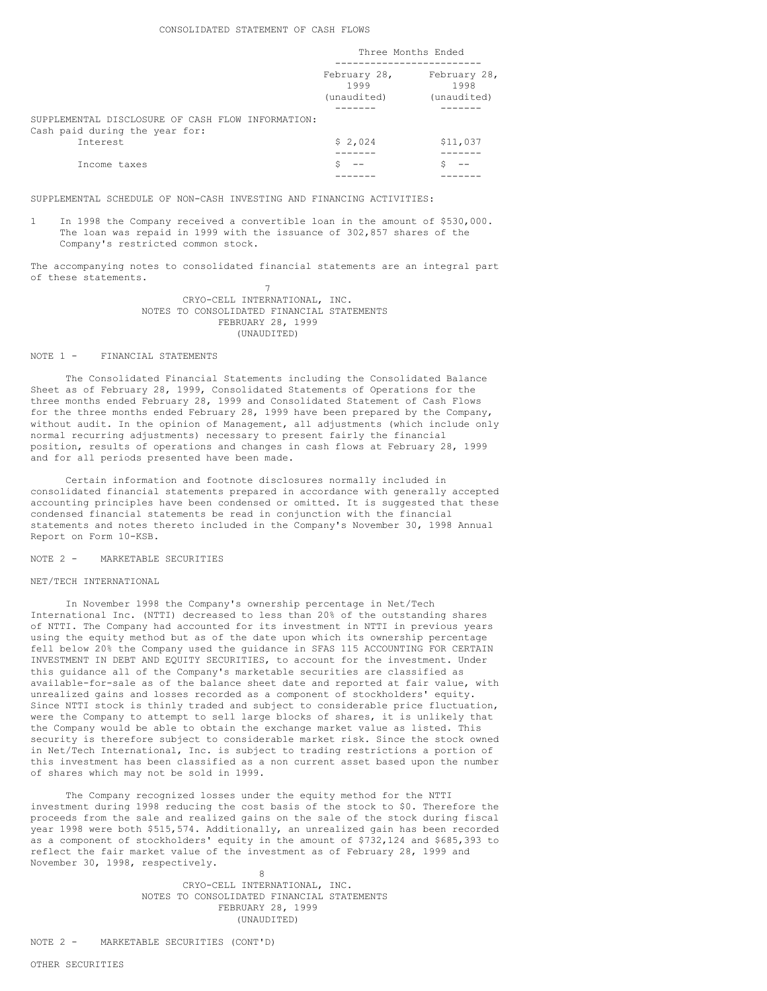|                                                   | Three Months Ended |              |  |
|---------------------------------------------------|--------------------|--------------|--|
|                                                   |                    |              |  |
|                                                   | February 28,       | February 28, |  |
|                                                   | 1999               | 1998         |  |
|                                                   | (unaudited)        | (unaudited)  |  |
|                                                   |                    |              |  |
| SUPPLEMENTAL DISCLOSURE OF CASH FLOW INFORMATION: |                    |              |  |
| Cash paid during the year for:                    |                    |              |  |
| Interest                                          | \$2,024            | \$11,037     |  |
|                                                   |                    |              |  |
| Income taxes                                      |                    |              |  |
|                                                   |                    |              |  |

SUPPLEMENTAL SCHEDULE OF NON-CASH INVESTING AND FINANCING ACTIVITIES:

1 In 1998 the Company received a convertible loan in the amount of \$530,000. The loan was repaid in 1999 with the issuance of 302,857 shares of the Company's restricted common stock.

The accompanying notes to consolidated financial statements are an integral part of these statements. 7

> CRYO-CELL INTERNATIONAL, INC. NOTES TO CONSOLIDATED FINANCIAL STATEMENTS FEBRUARY 28, 1999 (UNAUDITED)

### NOTE 1 - FINANCIAL STATEMENTS

The Consolidated Financial Statements including the Consolidated Balance Sheet as of February 28, 1999, Consolidated Statements of Operations for the three months ended February 28, 1999 and Consolidated Statement of Cash Flows for the three months ended February 28, 1999 have been prepared by the Company, without audit. In the opinion of Management, all adjustments (which include only normal recurring adjustments) necessary to present fairly the financial position, results of operations and changes in cash flows at February 28, 1999 and for all periods presented have been made.

Certain information and footnote disclosures normally included in consolidated financial statements prepared in accordance with generally accepted accounting principles have been condensed or omitted. It is suggested that these condensed financial statements be read in conjunction with the financial statements and notes thereto included in the Company's November 30, 1998 Annual Report on Form 10-KSB.

NOTE 2 - MARKETABLE SECURITIES

### NET/TECH INTERNATIONAL

In November 1998 the Company's ownership percentage in Net/Tech International Inc. (NTTI) decreased to less than 20% of the outstanding shares of NTTI. The Company had accounted for its investment in NTTI in previous years using the equity method but as of the date upon which its ownership percentage fell below 20% the Company used the guidance in SFAS 115 ACCOUNTING FOR CERTAIN INVESTMENT IN DEBT AND EQUITY SECURITIES, to account for the investment. Under this guidance all of the Company's marketable securities are classified as available-for-sale as of the balance sheet date and reported at fair value, with unrealized gains and losses recorded as a component of stockholders' equity. Since NTTI stock is thinly traded and subject to considerable price fluctuation, were the Company to attempt to sell large blocks of shares, it is unlikely that the Company would be able to obtain the exchange market value as listed. This security is therefore subject to considerable market risk. Since the stock owned in Net/Tech International, Inc. is subject to trading restrictions a portion of this investment has been classified as a non current asset based upon the number of shares which may not be sold in 1999.

The Company recognized losses under the equity method for the NTTI investment during 1998 reducing the cost basis of the stock to \$0. Therefore the proceeds from the sale and realized gains on the sale of the stock during fiscal .<br>year 1998 were both \$515,574. Additionally, an unrealized gain has been recorded as a component of stockholders' equity in the amount of \$732,124 and \$685,393 to reflect the fair market value of the investment as of February 28, 1999 and November 30, 1998, respectively.

> CRYO-CELL INTERNATIONAL, INC. NOTES TO CONSOLIDATED FINANCIAL STATEMENTS FEBRUARY 28, 1999 (UNAUDITED)

8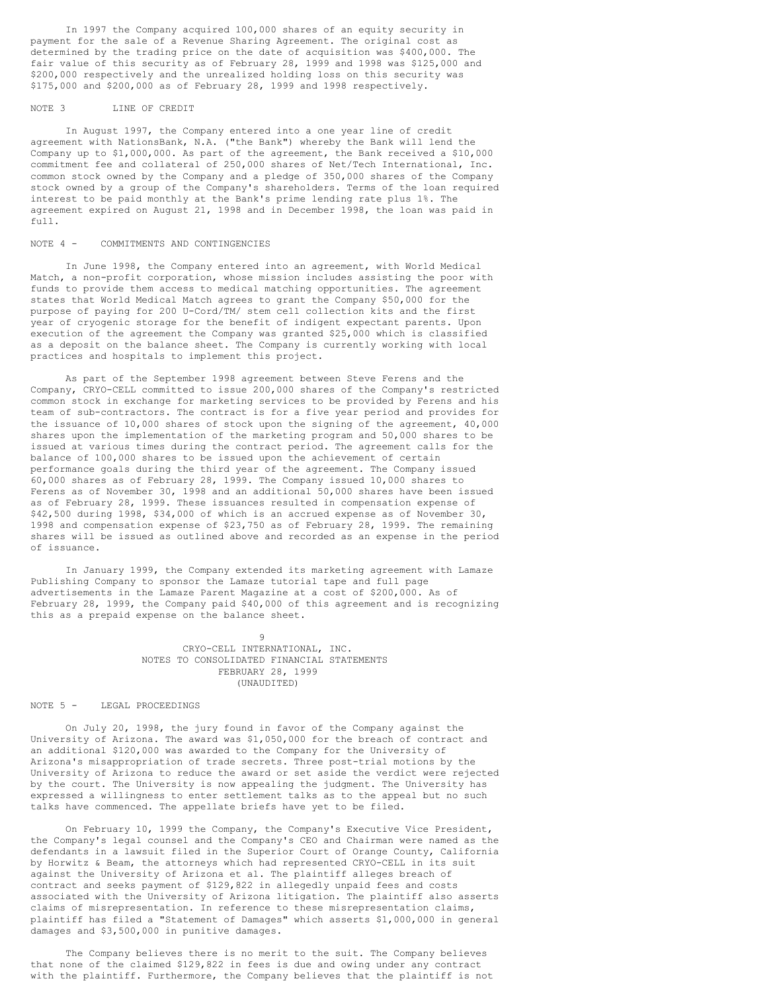In 1997 the Company acquired 100,000 shares of an equity security in payment for the sale of a Revenue Sharing Agreement. The original cost as determined by the trading price on the date of acquisition was \$400,000. The fair value of this security as of February 28, 1999 and 1998 was \$125,000 and \$200,000 respectively and the unrealized holding loss on this security was \$175,000 and \$200,000 as of February 28, 1999 and 1998 respectively.

### NOTE 3 LINE OF CREDIT

In August 1997, the Company entered into a one year line of credit agreement with NationsBank, N.A. ("the Bank") whereby the Bank will lend the Company up to \$1,000,000. As part of the agreement, the Bank received a \$10,000 commitment fee and collateral of 250,000 shares of Net/Tech International, Inc. common stock owned by the Company and a pledge of 350,000 shares of the Company stock owned by a group of the Company's shareholders. Terms of the loan required interest to be paid monthly at the Bank's prime lending rate plus 1%. The agreement expired on August 21, 1998 and in December 1998, the loan was paid in full.

### NOTE 4 - COMMITMENTS AND CONTINGENCIES

In June 1998, the Company entered into an agreement, with World Medical Match, a non-profit corporation, whose mission includes assisting the poor with funds to provide them access to medical matching opportunities. The agreement states that World Medical Match agrees to grant the Company \$50,000 for the purpose of paying for 200 U-Cord/TM/ stem cell collection kits and the first year of cryogenic storage for the benefit of indigent expectant parents. Upon execution of the agreement the Company was granted \$25,000 which is classified as a deposit on the balance sheet. The Company is currently working with local practices and hospitals to implement this project.

As part of the September 1998 agreement between Steve Ferens and the Company, CRYO-CELL committed to issue 200,000 shares of the Company's restricted common stock in exchange for marketing services to be provided by Ferens and his team of sub-contractors. The contract is for a five year period and provides for the issuance of 10,000 shares of stock upon the signing of the agreement, 40,000 shares upon the implementation of the marketing program and 50,000 shares to be issued at various times during the contract period. The agreement calls for the balance of 100,000 shares to be issued upon the achievement of certain performance goals during the third year of the agreement. The Company issued 60,000 shares as of February 28, 1999. The Company issued 10,000 shares to Ferens as of November 30, 1998 and an additional 50,000 shares have been issued as of February 28, 1999. These issuances resulted in compensation expense of \$42,500 during 1998, \$34,000 of which is an accrued expense as of November 30, 1998 and compensation expense of \$23,750 as of February 28, 1999. The remaining shares will be issued as outlined above and recorded as an expense in the period of issuance.

In January 1999, the Company extended its marketing agreement with Lamaze Publishing Company to sponsor the Lamaze tutorial tape and full page advertisements in the Lamaze Parent Magazine at a cost of \$200,000. As of February 28, 1999, the Company paid \$40,000 of this agreement and is recognizing this as a prepaid expense on the balance sheet.

> 9 CRYO-CELL INTERNATIONAL, INC. NOTES TO CONSOLIDATED FINANCIAL STATEMENTS FEBRUARY 28, 1999 (UNAUDITED)

### NOTE 5 - LEGAL PROCEEDINGS

On July 20, 1998, the jury found in favor of the Company against the University of Arizona. The award was \$1,050,000 for the breach of contract and an additional \$120,000 was awarded to the Company for the University of Arizona's misappropriation of trade secrets. Three post-trial motions by the University of Arizona to reduce the award or set aside the verdict were rejected by the court. The University is now appealing the judgment. The University has expressed a willingness to enter settlement talks as to the appeal but no such talks have commenced. The appellate briefs have yet to be filed.

On February 10, 1999 the Company, the Company's Executive Vice President, the Company's legal counsel and the Company's CEO and Chairman were named as the defendants in a lawsuit filed in the Superior Court of Orange County, California by Horwitz & Beam, the attorneys which had represented CRYO-CELL in its suit against the University of Arizona et al. The plaintiff alleges breach of contract and seeks payment of \$129,822 in allegedly unpaid fees and costs associated with the University of Arizona litigation. The plaintiff also asserts claims of misrepresentation. In reference to these misrepresentation claims, plaintiff has filed a "Statement of Damages" which asserts \$1,000,000 in general damages and \$3,500,000 in punitive damages.

The Company believes there is no merit to the suit. The Company believes that none of the claimed \$129,822 in fees is due and owing under any contract with the plaintiff. Furthermore, the Company believes that the plaintiff is not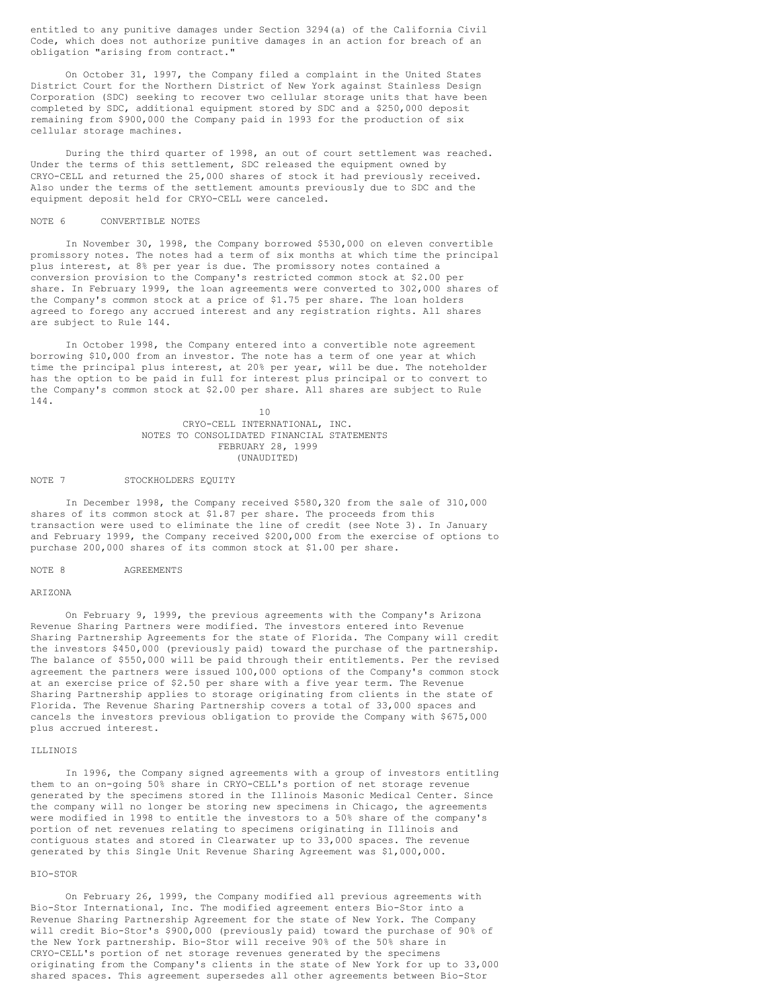entitled to any punitive damages under Section 3294(a) of the California Civil Code, which does not authorize punitive damages in an action for breach of an obligation "arising from contract."

On October 31, 1997, the Company filed a complaint in the United States District Court for the Northern District of New York against Stainless Design Corporation (SDC) seeking to recover two cellular storage units that have been completed by SDC, additional equipment stored by SDC and a \$250,000 deposit remaining from \$900,000 the Company paid in 1993 for the production of six cellular storage machines.

During the third quarter of 1998, an out of court settlement was reached. Under the terms of this settlement, SDC released the equipment owned by CRYO-CELL and returned the 25,000 shares of stock it had previously received. Also under the terms of the settlement amounts previously due to SDC and the equipment deposit held for CRYO-CELL were canceled.

### NOTE 6 CONVERTIBLE NOTES

In November 30, 1998, the Company borrowed \$530,000 on eleven convertible promissory notes. The notes had a term of six months at which time the principal plus interest, at 8% per year is due. The promissory notes contained a conversion provision to the Company's restricted common stock at \$2.00 per share. In February 1999, the loan agreements were converted to 302,000 shares of the Company's common stock at a price of \$1.75 per share. The loan holders agreed to forego any accrued interest and any registration rights. All shares are subject to Rule 144.

In October 1998, the Company entered into a convertible note agreement borrowing \$10,000 from an investor. The note has a term of one year at which time the principal plus interest, at 20% per year, will be due. The noteholder has the option to be paid in full for interest plus principal or to convert to the Company's common stock at \$2.00 per share. All shares are subject to Rule 144.

10 CRYO-CELL INTERNATIONAL, INC. NOTES TO CONSOLIDATED FINANCIAL STATEMENTS FEBRUARY 28, 1999 (UNAUDITED)

### NOTE 7 STOCKHOLDERS EQUITY

In December 1998, the Company received \$580,320 from the sale of 310,000 shares of its common stock at \$1.87 per share. The proceeds from this transaction were used to eliminate the line of credit (see Note 3). In January and February 1999, the Company received \$200,000 from the exercise of options to purchase 200,000 shares of its common stock at \$1.00 per share.

#### NOTE 8 AGREEMENTS

#### ARIZONA

On February 9, 1999, the previous agreements with the Company's Arizona Revenue Sharing Partners were modified. The investors entered into Revenue Sharing Partnership Agreements for the state of Florida. The Company will credit the investors \$450,000 (previously paid) toward the purchase of the partnership. The balance of \$550,000 will be paid through their entitlements. Per the revised agreement the partners were issued 100,000 options of the Company's common stock at an exercise price of \$2.50 per share with a five year term. The Revenue Sharing Partnership applies to storage originating from clients in the state of Florida. The Revenue Sharing Partnership covers a total of 33,000 spaces and cancels the investors previous obligation to provide the Company with \$675,000 plus accrued interest.

### ILLINOIS

In 1996, the Company signed agreements with a group of investors entitling them to an on-going 50% share in CRYO-CELL's portion of net storage revenue generated by the specimens stored in the Illinois Masonic Medical Center. Since the company will no longer be storing new specimens in Chicago, the agreements were modified in 1998 to entitle the investors to a 50% share of the company's portion of net revenues relating to specimens originating in Illinois and contiguous states and stored in Clearwater up to 33,000 spaces. The revenue generated by this Single Unit Revenue Sharing Agreement was \$1,000,000.

#### BIO-STOR

On February 26, 1999, the Company modified all previous agreements with Bio-Stor International, Inc. The modified agreement enters Bio-Stor into a Revenue Sharing Partnership Agreement for the state of New York. The Company will credit Bio-Stor's \$900,000 (previously paid) toward the purchase of 90% of the New York partnership. Bio-Stor will receive 90% of the 50% share in CRYO-CELL's portion of net storage revenues generated by the specimens originating from the Company's clients in the state of New York for up to 33,000 shared spaces. This agreement supersedes all other agreements between Bio-Stor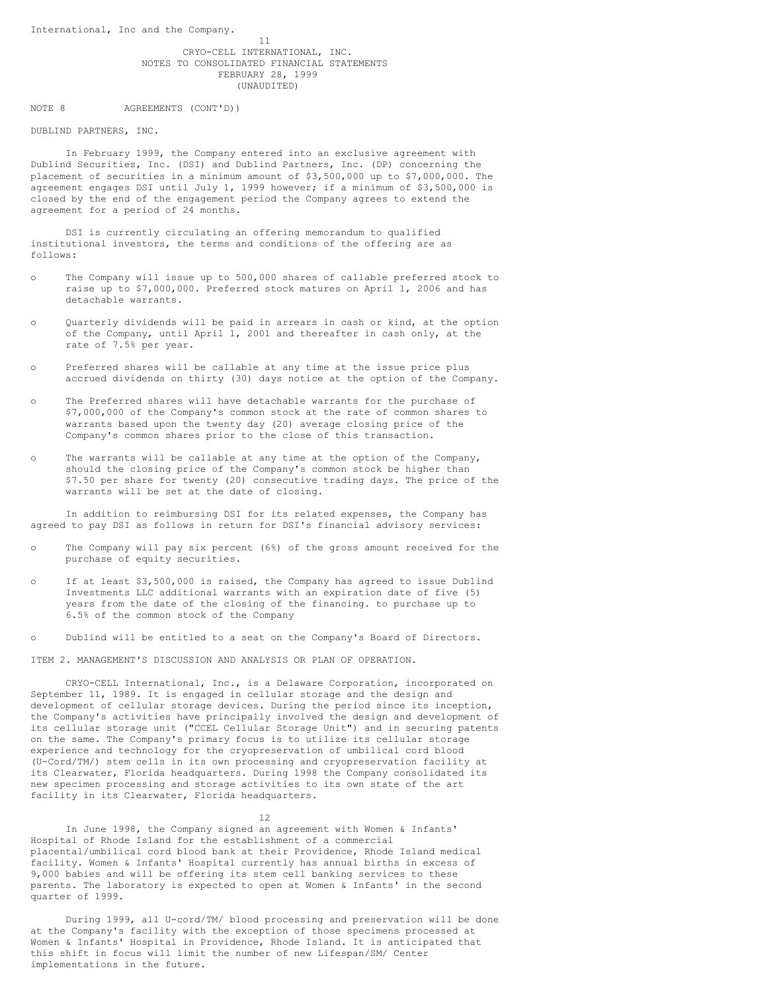# CRYO-CELL INTERNATIONAL, INC. NOTES TO CONSOLIDATED FINANCIAL STATEMENTS FEBRUARY 28, 1999 (UNAUDITED)

11

NOTE 8 AGREEMENTS (CONT'D))

DUBLIND PARTNERS, INC.

In February 1999, the Company entered into an exclusive agreement with Dublind Securities, Inc. (DSI) and Dublind Partners, Inc. (DP) concerning the placement of securities in a minimum amount of \$3,500,000 up to \$7,000,000. The agreement engages DSI until July 1, 1999 however; if a minimum of \$3,500,000 is closed by the end of the engagement period the Company agrees to extend the agreement for a period of 24 months.

DSI is currently circulating an offering memorandum to qualified institutional investors, the terms and conditions of the offering are as follows:

- o The Company will issue up to 500,000 shares of callable preferred stock to raise up to \$7,000,000. Preferred stock matures on April 1, 2006 and has detachable warrants.
- o Quarterly dividends will be paid in arrears in cash or kind, at the option of the Company, until April 1, 2001 and thereafter in cash only, at the rate of 7.5% per year.
- o Preferred shares will be callable at any time at the issue price plus accrued dividends on thirty (30) days notice at the option of the Company.
- o The Preferred shares will have detachable warrants for the purchase of \$7,000,000 of the Company's common stock at the rate of common shares to warrants based upon the twenty day (20) average closing price of the Company's common shares prior to the close of this transaction.
- o The warrants will be callable at any time at the option of the Company, should the closing price of the Company's common stock be higher than \$7.50 per share for twenty (20) consecutive trading days. The price of the warrants will be set at the date of closing.

In addition to reimbursing DSI for its related expenses, the Company has agreed to pay DSI as follows in return for DSI's financial advisory services:

- o The Company will pay six percent (6%) of the gross amount received for the purchase of equity securities.
- o If at least \$3,500,000 is raised, the Company has agreed to issue Dublind Investments LLC additional warrants with an expiration date of five (5) years from the date of the closing of the financing. to purchase up to 6.5% of the common stock of the Company
- o Dublind will be entitled to a seat on the Company's Board of Directors.

ITEM 2. MANAGEMENT'S DISCUSSION AND ANALYSIS OR PLAN OF OPERATION.

CRYO-CELL International, Inc., is a Delaware Corporation, incorporated on September 11, 1989. It is engaged in cellular storage and the design and development of cellular storage devices. During the period since its inception, the Company's activities have principally involved the design and development of its cellular storage unit ("CCEL Cellular Storage Unit") and in securing patents on the same. The Company's primary focus is to utilize its cellular storage experience and technology for the cryopreservation of umbilical cord blood (U-Cord/TM/) stem cells in its own processing and cryopreservation facility at its Clearwater, Florida headquarters. During 1998 the Company consolidated its new specimen processing and storage activities to its own state of the art facility in its Clearwater, Florida headquarters.

12

In June 1998, the Company signed an agreement with Women & Infants' Hospital of Rhode Island for the establishment of a commercial placental/umbilical cord blood bank at their Providence, Rhode Island medical facility. Women & Infants' Hospital currently has annual births in excess of 9,000 babies and will be offering its stem cell banking services to these parents. The laboratory is expected to open at Women & Infants' in the second quarter of 1999.

During 1999, all U-cord/TM/ blood processing and preservation will be done at the Company's facility with the exception of those specimens processed at Women & Infants' Hospital in Providence, Rhode Island. It is anticipated that this shift in focus will limit the number of new Lifespan/SM/ Center implementations in the future.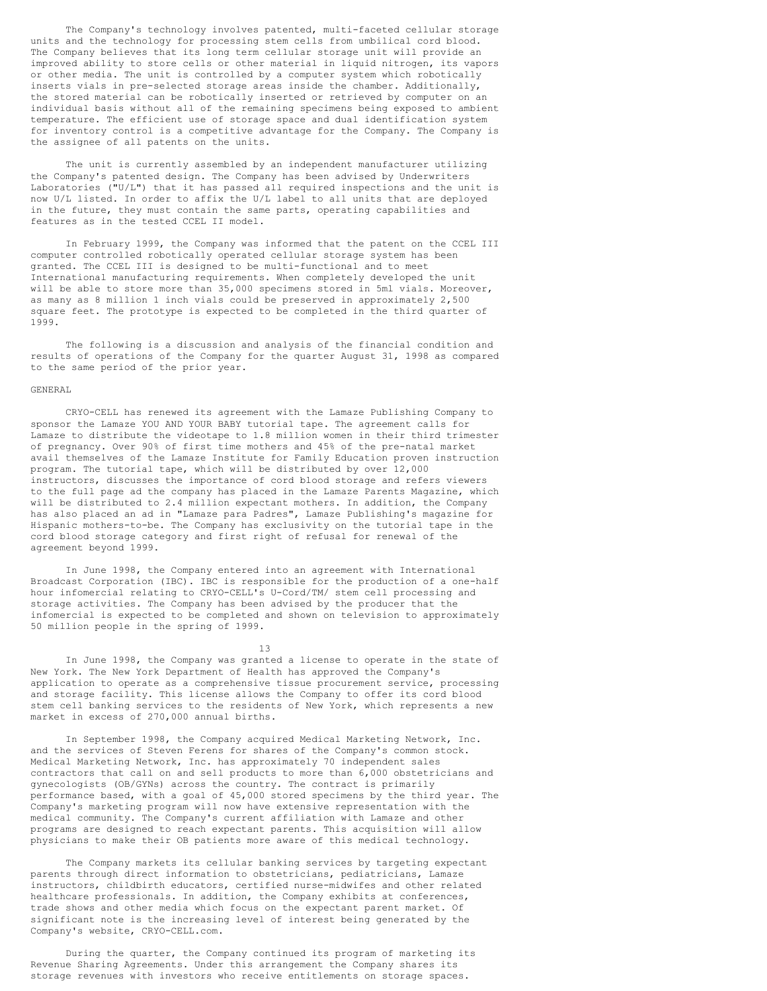The Company's technology involves patented, multi-faceted cellular storage units and the technology for processing stem cells from umbilical cord blood. The Company believes that its long term cellular storage unit will provide an improved ability to store cells or other material in liquid nitrogen, its vapors or other media. The unit is controlled by a computer system which robotically inserts vials in pre-selected storage areas inside the chamber. Additionally, the stored material can be robotically inserted or retrieved by computer on an individual basis without all of the remaining specimens being exposed to ambient temperature. The efficient use of storage space and dual identification system for inventory control is a competitive advantage for the Company. The Company is the assignee of all patents on the units.

The unit is currently assembled by an independent manufacturer utilizing the Company's patented design. The Company has been advised by Underwriters Laboratories ("U/L") that it has passed all required inspections and the unit is now U/L listed. In order to affix the U/L label to all units that are deployed in the future, they must contain the same parts, operating capabilities and features as in the tested CCEL II model.

In February 1999, the Company was informed that the patent on the CCEL III computer controlled robotically operated cellular storage system has been granted. The CCEL III is designed to be multi-functional and to meet International manufacturing requirements. When completely developed the unit will be able to store more than 35,000 specimens stored in 5ml vials. Moreover, as many as 8 million 1 inch vials could be preserved in approximately 2,500 square feet. The prototype is expected to be completed in the third quarter of 1999.

The following is a discussion and analysis of the financial condition and results of operations of the Company for the quarter August 31, 1998 as compared to the same period of the prior year.

### GENERAL

CRYO-CELL has renewed its agreement with the Lamaze Publishing Company to sponsor the Lamaze YOU AND YOUR BABY tutorial tape. The agreement calls for Lamaze to distribute the videotape to 1.8 million women in their third trimester of pregnancy. Over 90% of first time mothers and 45% of the pre-natal market avail themselves of the Lamaze Institute for Family Education proven instruction program. The tutorial tape, which will be distributed by over 12,000 instructors, discusses the importance of cord blood storage and refers viewers to the full page ad the company has placed in the Lamaze Parents Magazine, which will be distributed to 2.4 million expectant mothers. In addition, the Company has also placed an ad in "Lamaze para Padres", Lamaze Publishing's magazine for Hispanic mothers-to-be. The Company has exclusivity on the tutorial tape in the cord blood storage category and first right of refusal for renewal of the agreement beyond 1999.

In June 1998, the Company entered into an agreement with International Broadcast Corporation (IBC). IBC is responsible for the production of a one-half hour infomercial relating to CRYO-CELL's U-Cord/TM/ stem cell processing and storage activities. The Company has been advised by the producer that the infomercial is expected to be completed and shown on television to approximately 50 million people in the spring of 1999.

#### 13

In June 1998, the Company was granted a license to operate in the state of New York. The New York Department of Health has approved the Company's application to operate as a comprehensive tissue procurement service, processing and storage facility. This license allows the Company to offer its cord blood stem cell banking services to the residents of New York, which represents a new market in excess of 270,000 annual births.

In September 1998, the Company acquired Medical Marketing Network, Inc. and the services of Steven Ferens for shares of the Company's common stock. Medical Marketing Network, Inc. has approximately 70 independent sales contractors that call on and sell products to more than 6,000 obstetricians and gynecologists (OB/GYNs) across the country. The contract is primarily performance based, with a goal of 45,000 stored specimens by the third year. The Company's marketing program will now have extensive representation with the medical community. The Company's current affiliation with Lamaze and other programs are designed to reach expectant parents. This acquisition will allow physicians to make their OB patients more aware of this medical technology.

The Company markets its cellular banking services by targeting expectant parents through direct information to obstetricians, pediatricians, Lamaze instructors, childbirth educators, certified nurse-midwifes and other related healthcare professionals. In addition, the Company exhibits at conferences, trade shows and other media which focus on the expectant parent market. Of significant note is the increasing level of interest being generated by the Company's website, CRYO-CELL.com.

During the quarter, the Company continued its program of marketing its Revenue Sharing Agreements. Under this arrangement the Company shares its storage revenues with investors who receive entitlements on storage spaces.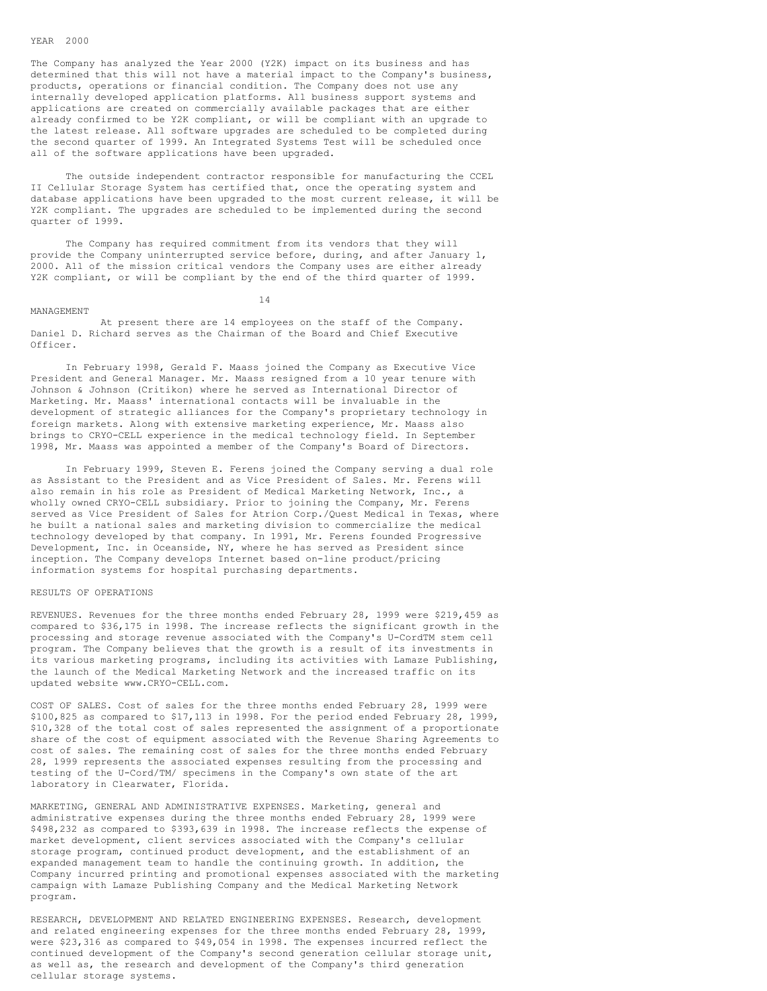### YEAR 2000

The Company has analyzed the Year 2000 (Y2K) impact on its business and has determined that this will not have a material impact to the Company's business, products, operations or financial condition. The Company does not use any internally developed application platforms. All business support systems and applications are created on commercially available packages that are either already confirmed to be Y2K compliant, or will be compliant with an upgrade to the latest release. All software upgrades are scheduled to be completed during the second quarter of 1999. An Integrated Systems Test will be scheduled once all of the software applications have been upgraded.

The outside independent contractor responsible for manufacturing the CCEL II Cellular Storage System has certified that, once the operating system and database applications have been upgraded to the most current release, it will be Y2K compliant. The upgrades are scheduled to be implemented during the second quarter of 1999.

The Company has required commitment from its vendors that they will provide the Company uninterrupted service before, during, and after January 1, 2000. All of the mission critical vendors the Company uses are either already Y2K compliant, or will be compliant by the end of the third quarter of 1999.

### MANAGEMENT

14

At present there are 14 employees on the staff of the Company. Daniel D. Richard serves as the Chairman of the Board and Chief Executive Officer.

In February 1998, Gerald F. Maass joined the Company as Executive Vice President and General Manager. Mr. Maass resigned from a 10 year tenure with Johnson & Johnson (Critikon) where he served as International Director of Marketing. Mr. Maass' international contacts will be invaluable in the development of strategic alliances for the Company's proprietary technology in foreign markets. Along with extensive marketing experience, Mr. Maass also brings to CRYO-CELL experience in the medical technology field. In September 1998, Mr. Maass was appointed a member of the Company's Board of Directors.

In February 1999, Steven E. Ferens joined the Company serving a dual role as Assistant to the President and as Vice President of Sales. Mr. Ferens will also remain in his role as President of Medical Marketing Network, Inc., a wholly owned CRYO-CELL subsidiary. Prior to joining the Company, Mr. Ferens served as Vice President of Sales for Atrion Corp./Quest Medical in Texas, where he built a national sales and marketing division to commercialize the medical technology developed by that company. In 1991, Mr. Ferens founded Progressive Development, Inc. in Oceanside, NY, where he has served as President since inception. The Company develops Internet based on-line product/pricing information systems for hospital purchasing departments.

## RESULTS OF OPERATIONS

REVENUES. Revenues for the three months ended February 28, 1999 were \$219,459 as compared to \$36,175 in 1998. The increase reflects the significant growth in the processing and storage revenue associated with the Company's U-CordTM stem cell program. The Company believes that the growth is a result of its investments in its various marketing programs, including its activities with Lamaze Publishing, the launch of the Medical Marketing Network and the increased traffic on its updated website www.CRYO-CELL.com.

COST OF SALES. Cost of sales for the three months ended February 28, 1999 were \$100,825 as compared to \$17,113 in 1998. For the period ended February 28, 1999, \$10,328 of the total cost of sales represented the assignment of a proportionate share of the cost of equipment associated with the Revenue Sharing Agreements to cost of sales. The remaining cost of sales for the three months ended February 28, 1999 represents the associated expenses resulting from the processing and testing of the U-Cord/TM/ specimens in the Company's own state of the art laboratory in Clearwater, Florida.

MARKETING, GENERAL AND ADMINISTRATIVE EXPENSES. Marketing, general and administrative expenses during the three months ended February 28, 1999 were \$498,232 as compared to \$393,639 in 1998. The increase reflects the expense of market development, client services associated with the Company's cellular storage program, continued product development, and the establishment of an expanded management team to handle the continuing growth. In addition, the Company incurred printing and promotional expenses associated with the marketing campaign with Lamaze Publishing Company and the Medical Marketing Network program.

RESEARCH, DEVELOPMENT AND RELATED ENGINEERING EXPENSES. Research, development and related engineering expenses for the three months ended February 28, 1999, were \$23,316 as compared to \$49,054 in 1998. The expenses incurred reflect the continued development of the Company's second generation cellular storage unit, as well as, the research and development of the Company's third generation cellular storage systems.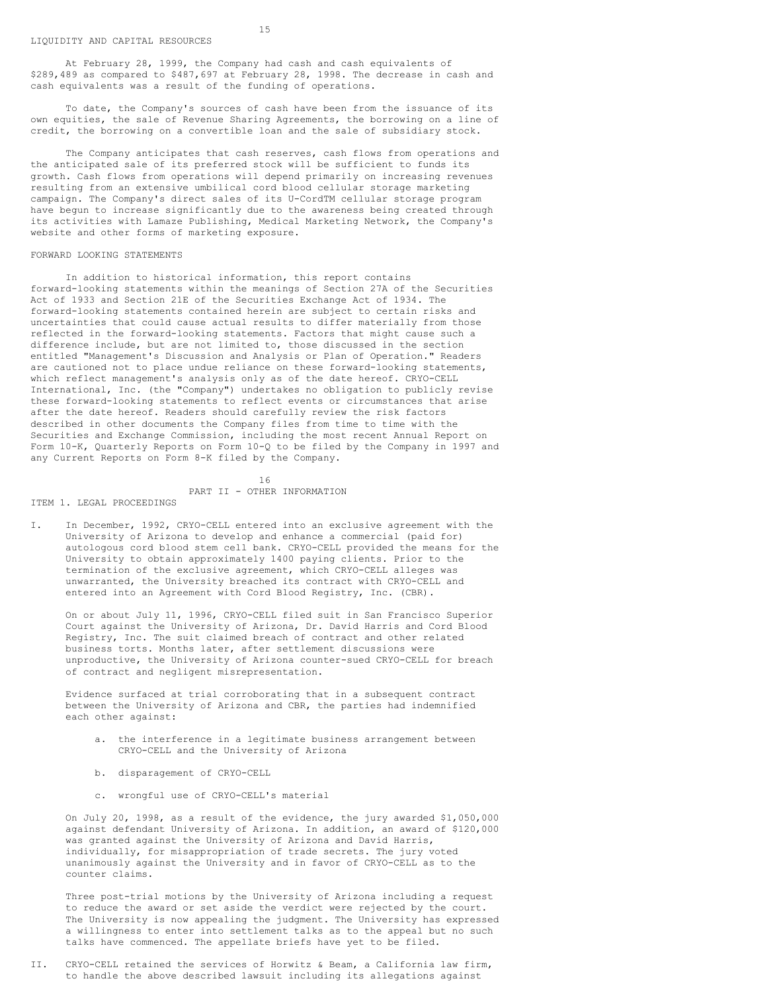At February 28, 1999, the Company had cash and cash equivalents of \$289,489 as compared to \$487,697 at February 28, 1998. The decrease in cash and cash equivalents was a result of the funding of operations.

To date, the Company's sources of cash have been from the issuance of its own equities, the sale of Revenue Sharing Agreements, the borrowing on a line of credit, the borrowing on a convertible loan and the sale of subsidiary stock.

The Company anticipates that cash reserves, cash flows from operations and the anticipated sale of its preferred stock will be sufficient to funds its growth. Cash flows from operations will depend primarily on increasing revenues resulting from an extensive umbilical cord blood cellular storage marketing campaign. The Company's direct sales of its U-CordTM cellular storage program have begun to increase significantly due to the awareness being created through its activities with Lamaze Publishing, Medical Marketing Network, the Company's website and other forms of marketing exposure.

### FORWARD LOOKING STATEMENTS

In addition to historical information, this report contains forward-looking statements within the meanings of Section 27A of the Securities Act of 1933 and Section 21E of the Securities Exchange Act of 1934. The forward-looking statements contained herein are subject to certain risks and uncertainties that could cause actual results to differ materially from those reflected in the forward-looking statements. Factors that might cause such a difference include, but are not limited to, those discussed in the section entitled "Management's Discussion and Analysis or Plan of Operation." Readers are cautioned not to place undue reliance on these forward-looking statements, which reflect management's analysis only as of the date hereof. CRYO-CELL International, Inc. (the "Company") undertakes no obligation to publicly revise these forward-looking statements to reflect events or circumstances that arise after the date hereof. Readers should carefully review the risk factors described in other documents the Company files from time to time with the Securities and Exchange Commission, including the most recent Annual Report on Form 10-K, Quarterly Reports on Form 10-Q to be filed by the Company in 1997 and any Current Reports on Form 8-K filed by the Company.

> 16 PART II - OTHER INFORMATION

ITEM 1. LEGAL PROCEEDINGS

I. In December, 1992, CRYO-CELL entered into an exclusive agreement with the University of Arizona to develop and enhance a commercial (paid for) autologous cord blood stem cell bank. CRYO-CELL provided the means for the University to obtain approximately 1400 paying clients. Prior to the termination of the exclusive agreement, which CRYO-CELL alleges was unwarranted, the University breached its contract with CRYO-CELL and entered into an Agreement with Cord Blood Registry, Inc. (CBR).

On or about July 11, 1996, CRYO-CELL filed suit in San Francisco Superior Court against the University of Arizona, Dr. David Harris and Cord Blood Registry, Inc. The suit claimed breach of contract and other related business torts. Months later, after settlement discussions were unproductive, the University of Arizona counter-sued CRYO-CELL for breach of contract and negligent misrepresentation.

Evidence surfaced at trial corroborating that in a subsequent contract between the University of Arizona and CBR, the parties had indemnified each other against:

- the interference in a legitimate business arrangement between CRYO-CELL and the University of Arizona
- b. disparagement of CRYO-CELL
- c. wrongful use of CRYO-CELL's material

On July 20, 1998, as a result of the evidence, the jury awarded \$1,050,000 against defendant University of Arizona. In addition, an award of \$120,000 was granted against the University of Arizona and David Harris, individually, for misappropriation of trade secrets. The jury voted unanimously against the University and in favor of CRYO-CELL as to the counter claims.

Three post-trial motions by the University of Arizona including a request to reduce the award or set aside the verdict were rejected by the court. The University is now appealing the judgment. The University has expressed a willingness to enter into settlement talks as to the appeal but no such talks have commenced. The appellate briefs have yet to be filed.

II. CRYO-CELL retained the services of Horwitz & Beam, a California law firm, to handle the above described lawsuit including its allegations against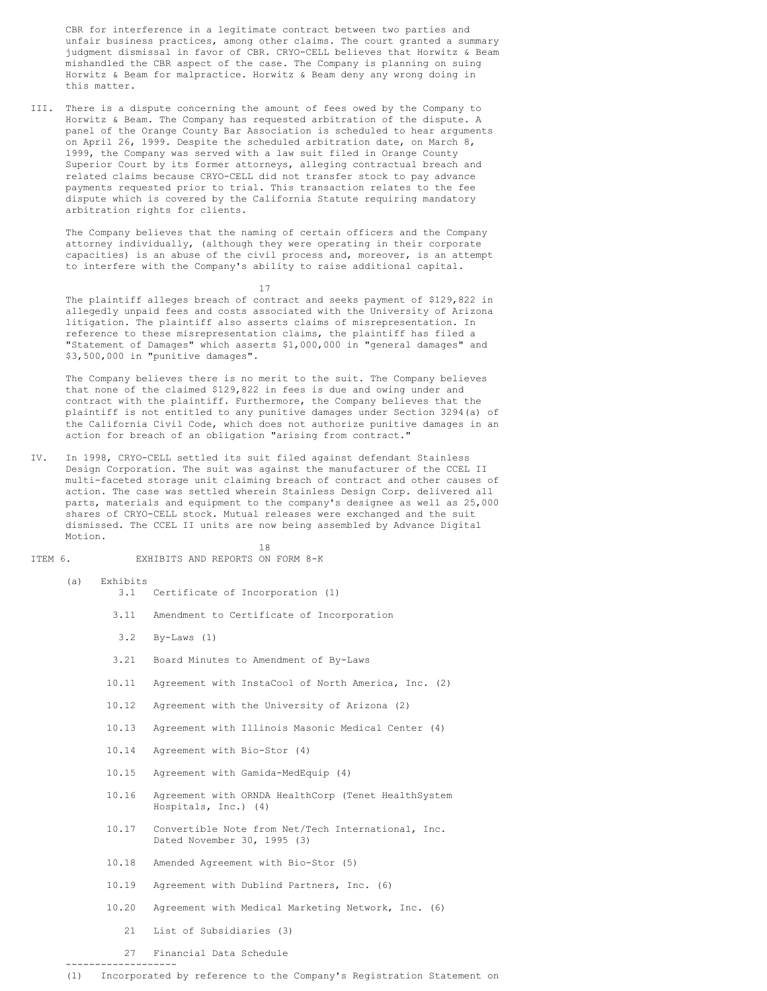CBR for interference in a legitimate contract between two parties and unfair business practices, among other claims. The court granted a summary judgment dismissal in favor of CBR. CRYO-CELL believes that Horwitz & Beam mishandled the CBR aspect of the case. The Company is planning on suing Horwitz & Beam for malpractice. Horwitz & Beam deny any wrong doing in this matter.

III. There is a dispute concerning the amount of fees owed by the Company to Horwitz & Beam. The Company has requested arbitration of the dispute. A panel of the Orange County Bar Association is scheduled to hear arguments on April 26, 1999. Despite the scheduled arbitration date, on March 8, 1999, the Company was served with a law suit filed in Orange County Superior Court by its former attorneys, alleging contractual breach and related claims because CRYO-CELL did not transfer stock to pay advance payments requested prior to trial. This transaction relates to the fee dispute which is covered by the California Statute requiring mandatory arbitration rights for clients.

The Company believes that the naming of certain officers and the Company attorney individually, (although they were operating in their corporate capacities) is an abuse of the civil process and, moreover, is an attempt to interfere with the Company's ability to raise additional capital.

17

The plaintiff alleges breach of contract and seeks payment of \$129,822 in allegedly unpaid fees and costs associated with the University of Arizona litigation. The plaintiff also asserts claims of misrepresentation. In reference to these misrepresentation claims, the plaintiff has filed a "Statement of Damages" which asserts \$1,000,000 in "general damages" and \$3,500,000 in "punitive damages".

The Company believes there is no merit to the suit. The Company believes that none of the claimed \$129,822 in fees is due and owing under and contract with the plaintiff. Furthermore, the Company believes that the plaintiff is not entitled to any punitive damages under Section 3294(a) of the California Civil Code, which does not authorize punitive damages in an action for breach of an obligation "arising from contract."

IV. In 1998, CRYO-CELL settled its suit filed against defendant Stainless Design Corporation. The suit was against the manufacturer of the CCEL II multi-faceted storage unit claiming breach of contract and other causes of action. The case was settled wherein Stainless Design Corp. delivered all parts, materials and equipment to the company's designee as well as 25,000 shares of CRYO-CELL stock. Mutual releases were exchanged and the suit dismissed. The CCEL II units are now being assembled by Advance Digital Motion.

18

ITEM 6. EXHIBITS AND REPORTS ON FORM 8-K

(a) Exhibits

-------------------

- 3.1 Certificate of Incorporation (1)
- 3.11 Amendment to Certificate of Incorporation
- 3.2 By-Laws (1)
- 3.21 Board Minutes to Amendment of By-Laws
- 10.11 Agreement with InstaCool of North America, Inc. (2)
- 10.12 Agreement with the University of Arizona (2)
- 10.13 Agreement with Illinois Masonic Medical Center (4)
- 10.14 Agreement with Bio-Stor (4)
- 10.15 Agreement with Gamida-MedEquip (4)
- 10.16 Agreement with ORNDA HealthCorp (Tenet HealthSystem Hospitals, Inc.) (4)
- 10.17 Convertible Note from Net/Tech International, Inc. Dated November 30, 1995 (3)
- 10.18 Amended Agreement with Bio-Stor (5)
- 10.19 Agreement with Dublind Partners, Inc. (6)
- 10.20 Agreement with Medical Marketing Network, Inc. (6)
	- 21 List of Subsidiaries (3)
- 27 Financial Data Schedule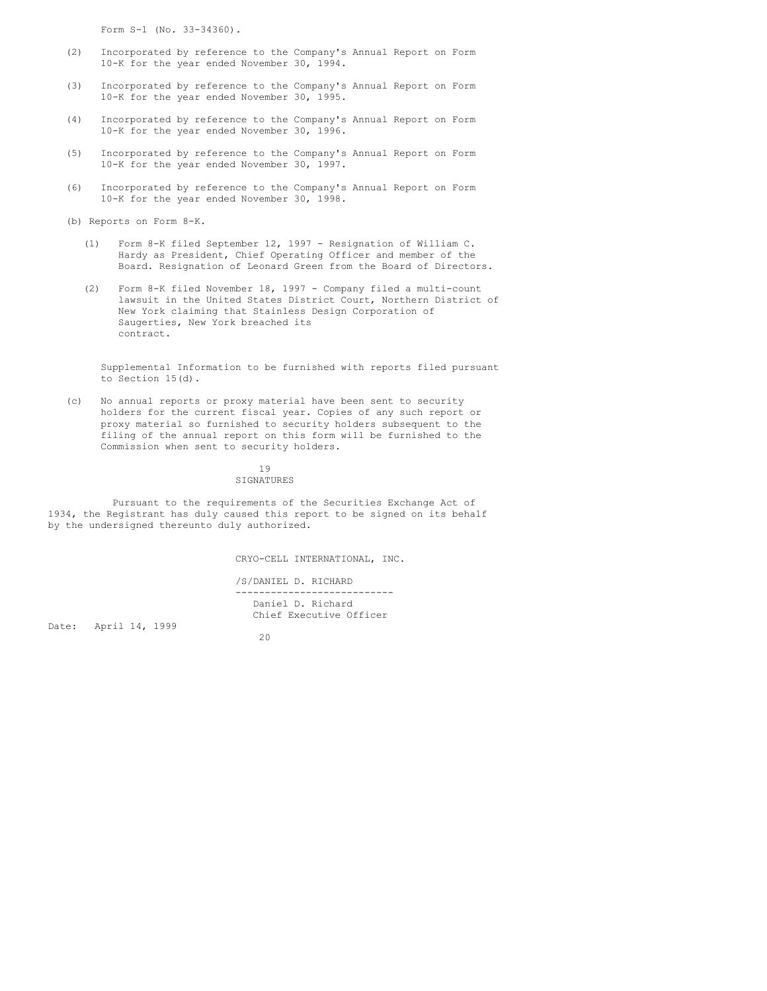Form S-1 (No. 33-34360).

- (2) Incorporated by reference to the Company's Annual Report on Form 10-K for the year ended November 30, 1994.
- (3) Incorporated by reference to the Company's Annual Report on Form 10-K for the year ended November 30, 1995.
- (4) Incorporated by reference to the Company's Annual Report on Form 10-K for the year ended November 30, 1996.
- (5) Incorporated by reference to the Company's Annual Report on Form 10-K for the year ended November 30, 1997.
- (6) Incorporated by reference to the Company's Annual Report on Form 10-K for the year ended November 30, 1998.
- (b) Reports on Form 8-K.
	- (1) Form 8-K filed September 12, 1997 Resignation of William C. Hardy as President, Chief Operating Officer and member of the Board. Resignation of Leonard Green from the Board of Directors.
	- (2) Form 8-K filed November 18, 1997 Company filed a multi-count lawsuit in the United States District Court, Northern District of New York claiming that Stainless Design Corporation of Saugerties, New York breached its contract.

Supplemental Information to be furnished with reports filed pursuant to Section 15(d).

(c) No annual reports or proxy material have been sent to security holders for the current fiscal year. Copies of any such report or proxy material so furnished to security holders subsequent to the filing of the annual report on this form will be furnished to the Commission when sent to security holders.

> 19 **SIGNATURES**

Pursuant to the requirements of the Securities Exchange Act of 1934, the Registrant has duly caused this report to be signed on its behalf by the undersigned thereunto duly authorized.

CRYO-CELL INTERNATIONAL, INC.

/S/DANIEL D. RICHARD --------------------------- Daniel D. Richard Chief Executive Officer

Date: April 14, 1999

 $20$